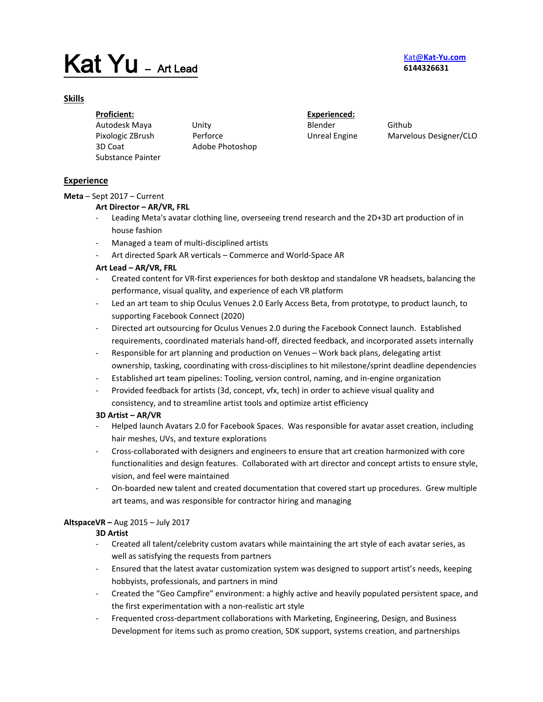# Kat Yu - Art Lead

# Kat@**[Kat-Yu.com](mailto:Kat@Kat-Yu.com) 6144326631**

# **Skills**

**Proficient:**  Autodesk Maya Unity Pixologic ZBrush Perforce 3D Coat Adobe Photoshop Substance Painter

**Experienced:**  Blender Github

Unreal Engine Marvelous Designer/CLO

# **Experience**

# **Meta** – Sept 2017 – Current

# **Art Director – AR/VR, FRL**

- Leading Meta's avatar clothing line, overseeing trend research and the 2D+3D art production of in house fashion
- Managed a team of multi-disciplined artists
- Art directed Spark AR verticals Commerce and World-Space AR

# **Art Lead – AR/VR, FRL**

- Created content for VR-first experiences for both desktop and standalone VR headsets, balancing the performance, visual quality, and experience of each VR platform
- Led an art team to ship Oculus Venues 2.0 Early Access Beta, from prototype, to product launch, to supporting Facebook Connect (2020)
- Directed art outsourcing for Oculus Venues 2.0 during the Facebook Connect launch. Established requirements, coordinated materials hand-off, directed feedback, and incorporated assets internally
- Responsible for art planning and production on Venues Work back plans, delegating artist ownership, tasking, coordinating with cross-disciplines to hit milestone/sprint deadline dependencies
- Established art team pipelines: Tooling, version control, naming, and in-engine organization
- Provided feedback for artists (3d, concept, vfx, tech) in order to achieve visual quality and consistency, and to streamline artist tools and optimize artist efficiency

# **3D Artist – AR/VR**

- Helped launch Avatars 2.0 for Facebook Spaces. Was responsible for avatar asset creation, including hair meshes, UVs, and texture explorations
- Cross-collaborated with designers and engineers to ensure that art creation harmonized with core functionalities and design features. Collaborated with art director and concept artists to ensure style, vision, and feel were maintained
- On-boarded new talent and created documentation that covered start up procedures. Grew multiple art teams, and was responsible for contractor hiring and managing

# **AltspaceVR –** Aug 2015 – July 2017

# **3D Artist**

- Created all talent/celebrity custom avatars while maintaining the art style of each avatar series, as well as satisfying the requests from partners
- Ensured that the latest avatar customization system was designed to support artist's needs, keeping hobbyists, professionals, and partners in mind
- Created the "Geo Campfire" environment: a highly active and heavily populated persistent space, and the first experimentation with a non-realistic art style
- Frequented cross-department collaborations with Marketing, Engineering, Design, and Business Development for items such as promo creation, SDK support, systems creation, and partnerships